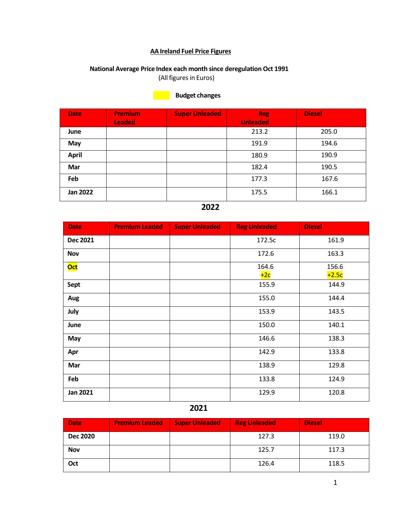#### **AA Ireland Fuel Price Figures**

## **National Average Price Index each month since deregulation Oct 1991**

(All figures in Euros)

### **Budget changes**

| <b>Date</b>     | <b>Premium</b><br><b>Leaded</b> | <b>Super Unleaded</b> | <b>Reg</b><br><b>Unleaded</b> | <b>Diesel</b> |
|-----------------|---------------------------------|-----------------------|-------------------------------|---------------|
| June            |                                 |                       | 213.2                         | 205.0         |
| May             |                                 |                       | 191.9                         | 194.6         |
| <b>April</b>    |                                 |                       | 180.9                         | 190.9         |
| Mar             |                                 |                       | 182.4                         | 190.5         |
| Feb             |                                 |                       | 177.3                         | 167.6         |
| <b>Jan 2022</b> |                                 |                       | 175.5                         | 166.1         |

## **2022**

| <b>Date</b>     | <b>Premium Leaded</b> | <b>Super Unleaded</b> | <b>Reg Unleaded</b> | <b>Diesel</b>    |
|-----------------|-----------------------|-----------------------|---------------------|------------------|
| <b>Dec 2021</b> |                       |                       | 172.5c              | 161.9            |
| <b>Nov</b>      |                       |                       | 172.6               | 163.3            |
| <b>Oct</b>      |                       |                       | 164.6<br>$+2c$      | 156.6<br>$+2.5c$ |
| Sept            |                       |                       | 155.9               | 144.9            |
| Aug             |                       |                       | 155.0               | 144.4            |
| July            |                       |                       | 153.9               | 143.5            |
| June            |                       |                       | 150.0               | 140.1            |
| May             |                       |                       | 146.6               | 138.3            |
| Apr             |                       |                       | 142.9               | 133.8            |
| Mar             |                       |                       | 138.9               | 129.8            |
| Feb             |                       |                       | 133.8               | 124.9            |
| <b>Jan 2021</b> |                       |                       | 129.9               | 120.8            |

| <b>Date</b>     | <b>Premium Leaded</b> | <b>Super Unleaded</b> | <b>Reg Unleaded</b> | <b>Diesel</b> |
|-----------------|-----------------------|-----------------------|---------------------|---------------|
| <b>Dec 2020</b> |                       |                       | 127.3               | 119.0         |
| <b>Nov</b>      |                       |                       | 125.7               | 117.3         |
| Oct             |                       |                       | 126.4               | 118.5         |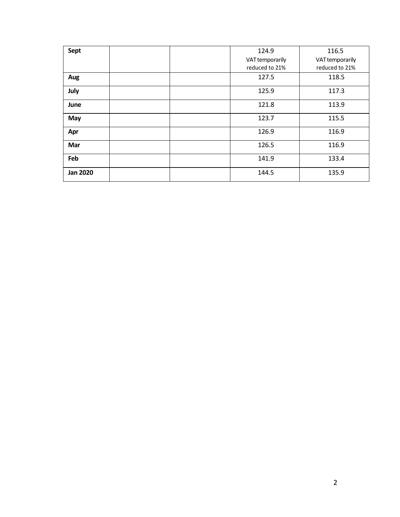| Sept            | 124.9           | 116.5           |
|-----------------|-----------------|-----------------|
|                 | VAT temporarily | VAT temporarily |
|                 | reduced to 21%  | reduced to 21%  |
| Aug             | 127.5           | 118.5           |
| July            | 125.9           | 117.3           |
| June            | 121.8           | 113.9           |
| May             | 123.7           | 115.5           |
| Apr             | 126.9           | 116.9           |
| Mar             | 126.5           | 116.9           |
| Feb             | 141.9           | 133.4           |
| <b>Jan 2020</b> | 144.5           | 135.9           |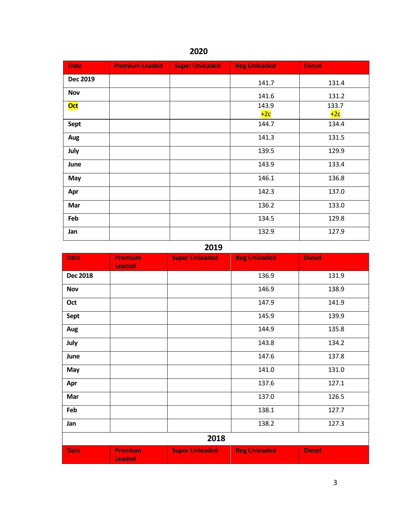| <b>Date</b>     | <b>Premium Leaded</b> | <b>Super Unleaded</b> | <b>Reg Unleaded</b> | <b>Diesel</b>  |
|-----------------|-----------------------|-----------------------|---------------------|----------------|
| <b>Dec 2019</b> |                       |                       | 141.7               | 131.4          |
| <b>Nov</b>      |                       |                       | 141.6               | 131.2          |
| <b>Oct</b>      |                       |                       | 143.9<br>$+2c$      | 133.7<br>$+2c$ |
| Sept            |                       |                       | 144.7               | 134.4          |
| Aug             |                       |                       | 141.3               | 131.5          |
| July            |                       |                       | 139.5               | 129.9          |
| June            |                       |                       | 143.9               | 133.4          |
| May             |                       |                       | 146.1               | 136.8          |
| Apr             |                       |                       | 142.3               | 137.0          |
| Mar             |                       |                       | 136.2               | 133.0          |
| Feb             |                       |                       | 134.5               | 129.8          |
| Jan             |                       |                       | 132.9               | 127.9          |

|                 |                                 | ----                  |                     |               |
|-----------------|---------------------------------|-----------------------|---------------------|---------------|
| <b>Date</b>     | <b>Premium</b><br><b>Leaded</b> | <b>Super Unleaded</b> | <b>Reg Unleaded</b> | <b>Diesel</b> |
| <b>Dec 2018</b> |                                 |                       | 136.9               | 131.9         |
| <b>Nov</b>      |                                 |                       | 146.9               | 138.9         |
| Oct             |                                 |                       | 147.9               | 141.9         |
| Sept            |                                 |                       | 145.9               | 139.9         |
| Aug             |                                 |                       | 144.9               | 135.8         |
| July            |                                 |                       | 143.8               | 134.2         |
| June            |                                 |                       | 147.6               | 137.8         |
| May             |                                 |                       | 141.0               | 131.0         |
| Apr             |                                 |                       | 137.6               | 127.1         |
| Mar             |                                 |                       | 137.0               | 126.5         |
| Feb             |                                 |                       | 138.1               | 127.7         |
| Jan             |                                 |                       | 138.2               | 127.3         |
|                 |                                 | 2018                  |                     |               |
| <b>Date</b>     | <b>Premium</b><br><b>Leaded</b> | <b>Super Unleaded</b> | <b>Reg Unleaded</b> | <b>Diesel</b> |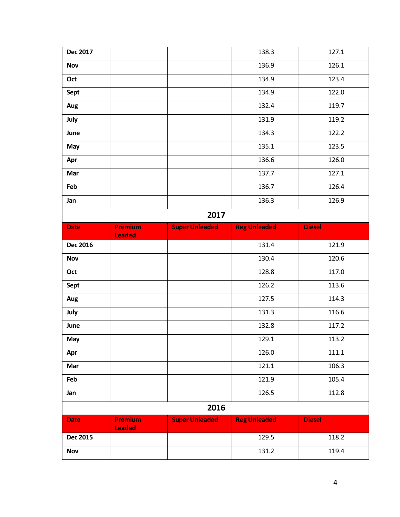| <b>Dec 2017</b> |                                 |                       | 138.3               | 127.1         |  |  |
|-----------------|---------------------------------|-----------------------|---------------------|---------------|--|--|
| <b>Nov</b>      |                                 |                       | 136.9               | 126.1         |  |  |
| Oct             |                                 |                       | 134.9               | 123.4         |  |  |
| Sept            |                                 |                       | 134.9               | 122.0         |  |  |
| Aug             |                                 |                       | 132.4               | 119.7         |  |  |
| July            |                                 |                       | 131.9               | 119.2         |  |  |
| June            |                                 |                       | 134.3               | 122.2         |  |  |
| May             |                                 |                       | 135.1               | 123.5         |  |  |
| Apr             |                                 |                       | 136.6               | 126.0         |  |  |
| Mar             |                                 |                       | 137.7               | 127.1         |  |  |
| Feb             |                                 |                       | 136.7               | 126.4         |  |  |
| Jan             |                                 |                       | 136.3               | 126.9         |  |  |
|                 | 2017                            |                       |                     |               |  |  |
| <b>Date</b>     | <b>Premium</b><br><b>Leaded</b> | <b>Super Unleaded</b> | <b>Reg Unleaded</b> | <b>Diesel</b> |  |  |
| <b>Dec 2016</b> |                                 |                       | 131.4               | 121.9         |  |  |
| <b>Nov</b>      |                                 |                       | 130.4               | 120.6         |  |  |
| Oct             |                                 |                       | 128.8               | 117.0         |  |  |
| <b>Sept</b>     |                                 |                       | 126.2               | 113.6         |  |  |
| Aug             |                                 |                       | 127.5               | 114.3         |  |  |
| July            |                                 |                       | 131.3               | 116.6         |  |  |
| June            |                                 |                       |                     |               |  |  |
|                 |                                 |                       | 132.8               | 117.2         |  |  |
| May             |                                 |                       | 129.1               | 113.2         |  |  |
| Apr             |                                 |                       | 126.0               | 111.1         |  |  |
| Mar             |                                 |                       | 121.1               | 106.3         |  |  |
| Feb             |                                 |                       | 121.9               | 105.4         |  |  |
| Jan             |                                 |                       | 126.5               | 112.8         |  |  |
|                 |                                 | 2016                  |                     |               |  |  |
| <b>Date</b>     | Premium                         | <b>Super Unleaded</b> | <b>Reg Unleaded</b> | <b>Diesel</b> |  |  |
| <b>Dec 2015</b> | <b>Leaded</b>                   |                       | 129.5               | 118.2         |  |  |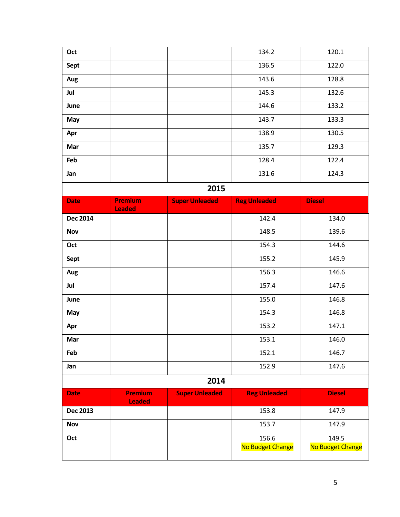| Oct             |                                 |                       | 134.2               | 120.1            |
|-----------------|---------------------------------|-----------------------|---------------------|------------------|
| Sept            |                                 |                       | 136.5               | 122.0            |
| Aug             |                                 |                       | 143.6               | 128.8            |
| Jul             |                                 |                       | 145.3               | 132.6            |
| June            |                                 |                       | 144.6               | 133.2            |
| May             |                                 |                       | 143.7               | 133.3            |
| Apr             |                                 |                       | 138.9               | 130.5            |
| Mar             |                                 |                       | 135.7               | 129.3            |
| Feb             |                                 |                       | 128.4               | 122.4            |
| Jan             |                                 |                       | 131.6               | 124.3            |
| 2015            |                                 |                       |                     |                  |
| <b>Date</b>     | <b>Premium</b><br><b>Leaded</b> | <b>Super Unleaded</b> | <b>Reg Unleaded</b> | <b>Diesel</b>    |
| <b>Dec 2014</b> |                                 |                       | 142.4               | 134.0            |
| <b>Nov</b>      |                                 |                       | 148.5               | 139.6            |
| Oct             |                                 |                       | 154.3               | 144.6            |
| Sept            |                                 |                       | 155.2               | 145.9            |
| Aug             |                                 |                       | 156.3               | 146.6            |
| Jul             |                                 |                       | 157.4               | 147.6            |
| June            |                                 |                       | 155.0               | 146.8            |
| May             |                                 |                       | 154.3               | 146.8            |
| Apr             |                                 |                       | 153.2               | 147.1            |
| Mar             |                                 |                       | 153.1               | 146.0            |
| Feb             |                                 |                       | 152.1               | 146.7            |
| Jan             |                                 |                       | 152.9               | 147.6            |
|                 |                                 | 2014                  |                     |                  |
| <b>Date</b>     | <b>Premium</b><br><b>Leaded</b> | <b>Super Unleaded</b> | <b>Reg Unleaded</b> | <b>Diesel</b>    |
| <b>Dec 2013</b> |                                 |                       | 153.8               | 147.9            |
| <b>Nov</b>      |                                 |                       | 153.7               | 147.9            |
| Oct             |                                 |                       | 156.6               | 149.5            |
|                 |                                 |                       | No Budget Change    | No Budget Change |
|                 |                                 |                       |                     |                  |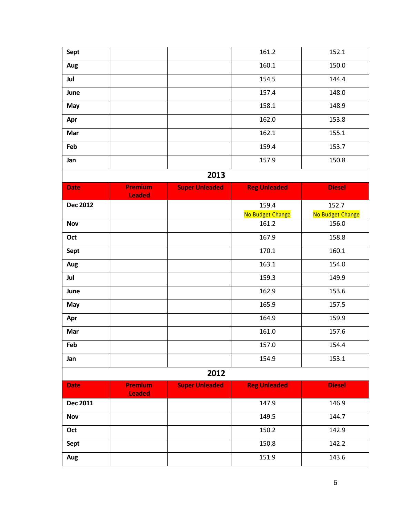| Sept            |                                 |                       | 161.2               | 152.1            |
|-----------------|---------------------------------|-----------------------|---------------------|------------------|
| Aug             |                                 |                       | 160.1               | 150.0            |
| Jul             |                                 |                       | 154.5               | 144.4            |
| June            |                                 |                       | 157.4               | 148.0            |
| May             |                                 |                       | 158.1               | 148.9            |
| Apr             |                                 |                       | 162.0               | 153.8            |
| Mar             |                                 |                       | 162.1               | 155.1            |
| Feb             |                                 |                       | 159.4               | 153.7            |
| Jan             |                                 |                       | 157.9               | 150.8            |
|                 |                                 | 2013                  |                     |                  |
| <b>Date</b>     | <b>Premium</b><br><b>Leaded</b> | <b>Super Unleaded</b> | <b>Reg Unleaded</b> | <b>Diesel</b>    |
| <b>Dec 2012</b> |                                 |                       | 159.4               | 152.7            |
|                 |                                 |                       | No Budget Change    | No Budget Change |
| <b>Nov</b>      |                                 |                       | 161.2               | 156.0            |
| Oct             |                                 |                       | 167.9               | 158.8            |
| Sept            |                                 |                       | 170.1               | 160.1            |
| Aug             |                                 |                       | 163.1               | 154.0            |
| Jul             |                                 |                       | 159.3               | 149.9            |
| June            |                                 |                       | 162.9               | 153.6            |
| May             |                                 |                       | 165.9               | 157.5            |
| Apr             |                                 |                       | 164.9               | 159.9            |
| Mar             |                                 |                       | 161.0               | 157.6            |
| Feb             |                                 |                       | 157.0               | 154.4            |
| Jan             |                                 |                       | 154.9               | 153.1            |
|                 |                                 | 2012                  |                     |                  |
| <b>Date</b>     | <b>Premium</b><br><b>Leaded</b> | <b>Super Unleaded</b> | <b>Reg Unleaded</b> | <b>Diesel</b>    |
| Dec 2011        |                                 |                       | 147.9               | 146.9            |
| <b>Nov</b>      |                                 |                       | 149.5               | 144.7            |
| Oct             |                                 |                       | 150.2               | 142.9            |
| Sept            |                                 |                       | 150.8               | 142.2            |
| Aug             |                                 |                       | 151.9               | 143.6            |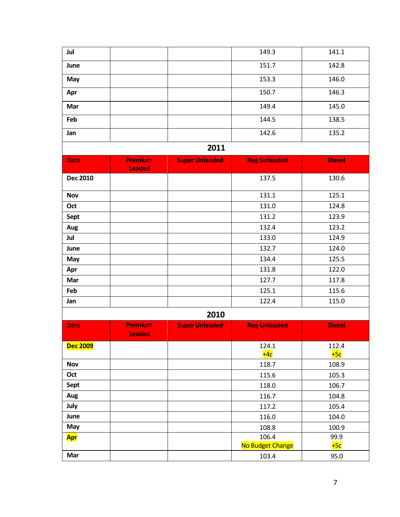|                          |                       | 149.3                 | 141.1                                                     |
|--------------------------|-----------------------|-----------------------|-----------------------------------------------------------|
|                          |                       | 151.7                 | 142.8                                                     |
|                          |                       | 153.3                 | 146.0                                                     |
|                          |                       | 150.7                 | 146.3                                                     |
|                          |                       | 149.4                 | 145.0                                                     |
|                          |                       | 144.5                 | 138.5                                                     |
|                          |                       | 142.6                 | 135.2                                                     |
|                          | 2011                  |                       |                                                           |
|                          |                       |                       | <b>Diesel</b>                                             |
| <b>Leaded</b>            |                       |                       |                                                           |
|                          |                       | 137.5                 | 130.6                                                     |
|                          |                       | 131.1                 | 125.1                                                     |
|                          |                       | 131.0                 | 124.8                                                     |
|                          |                       | 131.2                 | 123.9                                                     |
|                          |                       | 132.4                 | 123.2                                                     |
|                          |                       | 133.0                 | 124.9                                                     |
|                          |                       | 132.7                 | 124.0                                                     |
|                          |                       | 134.4                 | 125.5                                                     |
|                          |                       | 131.8                 | 122.0                                                     |
|                          |                       | 127.7                 | 117.8                                                     |
|                          |                       | 125.1                 | 115.6                                                     |
|                          |                       | 122.4                 | 115.0                                                     |
|                          | 2010                  |                       |                                                           |
| Premium<br><b>Leaded</b> | <b>Super Unleaded</b> | <b>Reg Unleaded</b>   | <b>Diesel</b>                                             |
|                          |                       | 124.1                 | 112.4                                                     |
|                          |                       | $+4c$                 | $+5c$                                                     |
|                          |                       | 118.7                 | 108.9                                                     |
|                          |                       | 115.6                 | 105.3                                                     |
|                          |                       | 118.0                 | 106.7                                                     |
|                          |                       | 116.7                 | 104.8                                                     |
|                          |                       | 117.2                 | 105.4                                                     |
|                          |                       | 116.0                 | 104.0                                                     |
|                          |                       | 108.8                 | 100.9                                                     |
|                          |                       |                       | 99.9<br>$+5c$                                             |
|                          |                       |                       | 95.0                                                      |
|                          | Premium               | <b>Super Unleaded</b> | <b>Reg Unleaded</b><br>106.4<br>No Budget Change<br>103.4 |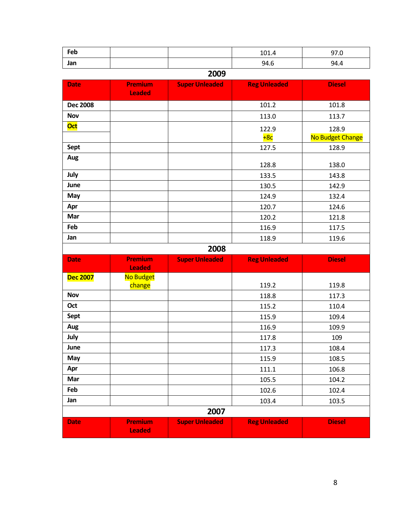| Feb             |                                 |                       | 101.4               | 97.0                      |
|-----------------|---------------------------------|-----------------------|---------------------|---------------------------|
| Jan             |                                 |                       | 94.6                | 94.4                      |
|                 |                                 | 2009                  |                     |                           |
| <b>Date</b>     | <b>Premium</b><br><b>Leaded</b> | <b>Super Unleaded</b> | <b>Reg Unleaded</b> | <b>Diesel</b>             |
| <b>Dec 2008</b> |                                 |                       | 101.2               | 101.8                     |
| <b>Nov</b>      |                                 |                       | 113.0               | 113.7                     |
| Oct             |                                 |                       | 122.9<br>$+8c$      | 128.9<br>No Budget Change |
| Sept            |                                 |                       | 127.5               | 128.9                     |
| Aug             |                                 |                       | 128.8               | 138.0                     |
| July            |                                 |                       | 133.5               | 143.8                     |
| June            |                                 |                       | 130.5               | 142.9                     |
| May             |                                 |                       | 124.9               | 132.4                     |
| Apr             |                                 |                       | 120.7               | 124.6                     |
| Mar             |                                 |                       | 120.2               | 121.8                     |
| Feb             |                                 |                       | 116.9               | 117.5                     |
| Jan             |                                 |                       | 118.9               | 119.6                     |
|                 |                                 | 2008                  |                     |                           |
| <b>Date</b>     | Premium<br><b>Leaded</b>        | <b>Super Unleaded</b> | <b>Reg Unleaded</b> | <b>Diesel</b>             |
| <b>Dec 2007</b> | No Budget<br>change             |                       | 119.2               | 119.8                     |
| <b>Nov</b>      |                                 |                       | 118.8               | 117.3                     |
| Oct             |                                 |                       | 115.2               | 110.4                     |
| Sept            |                                 |                       | 115.9               | 109.4                     |
| Aug             |                                 |                       | 116.9               | 109.9                     |
| July            |                                 |                       | 117.8               | 109                       |
| June            |                                 |                       | 117.3               | 108.4                     |
| May             |                                 |                       | 115.9               | 108.5                     |
| Apr             |                                 |                       | 111.1               | 106.8                     |
| Mar             |                                 |                       | 105.5               | 104.2                     |
| Feb             |                                 |                       | 102.6               | 102.4                     |
| Jan             |                                 |                       | 103.4               | 103.5                     |
|                 |                                 | 2007                  |                     |                           |
| <b>Date</b>     | <b>Premium</b>                  | <b>Super Unleaded</b> | <b>Reg Unleaded</b> | <b>Diesel</b>             |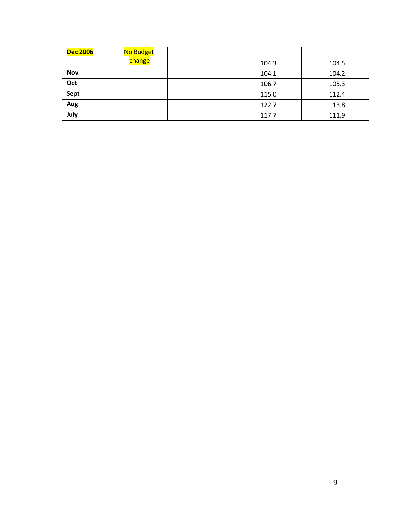| <b>Dec 2006</b> | No Budget |       |       |
|-----------------|-----------|-------|-------|
|                 | change    | 104.3 | 104.5 |
| <b>Nov</b>      |           | 104.1 | 104.2 |
| Oct             |           | 106.7 | 105.3 |
| Sept            |           | 115.0 | 112.4 |
| Aug             |           | 122.7 | 113.8 |
| July            |           | 117.7 | 111.9 |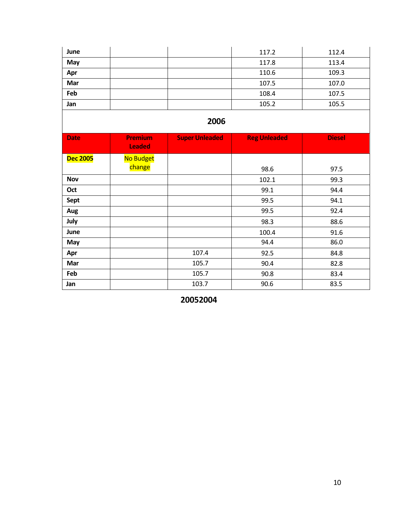| June | 117.2 | 112.4 |
|------|-------|-------|
| May  | 117.8 | 113.4 |
| Apr  | 110.6 | 109.3 |
| Mar  | 107.5 | 107.0 |
| Feb  | 108.4 | 107.5 |
| Jan  | 105.2 | 105.5 |

| <b>Date</b>     | <b>Premium</b><br><b>Leaded</b> | <b>Super Unleaded</b> | <b>Reg Unleaded</b> | <b>Diesel</b> |
|-----------------|---------------------------------|-----------------------|---------------------|---------------|
| <b>Dec 2005</b> | No Budget                       |                       |                     |               |
|                 | change                          |                       | 98.6                | 97.5          |
| <b>Nov</b>      |                                 |                       | 102.1               | 99.3          |
| Oct             |                                 |                       | 99.1                | 94.4          |
| Sept            |                                 |                       | 99.5                | 94.1          |
| Aug             |                                 |                       | 99.5                | 92.4          |
| July            |                                 |                       | 98.3                | 88.6          |
| June            |                                 |                       | 100.4               | 91.6          |
| May             |                                 |                       | 94.4                | 86.0          |
| Apr             |                                 | 107.4                 | 92.5                | 84.8          |
| Mar             |                                 | 105.7                 | 90.4                | 82.8          |
| Feb             |                                 | 105.7                 | 90.8                | 83.4          |
| Jan             |                                 | 103.7                 | 90.6                | 83.5          |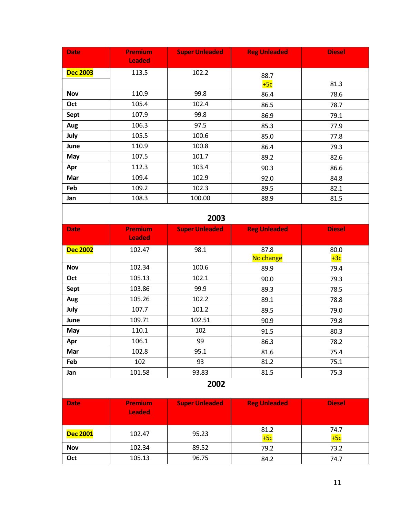| <b>Date</b>     | <b>Premium</b><br><b>Leaded</b> | <b>Super Unleaded</b> | <b>Reg Unleaded</b> | <b>Diesel</b> |
|-----------------|---------------------------------|-----------------------|---------------------|---------------|
| <b>Dec 2003</b> | 113.5                           | 102.2                 | 88.7                |               |
|                 |                                 |                       | $+5c$               | 81.3          |
| <b>Nov</b>      | 110.9                           | 99.8                  | 86.4                | 78.6          |
| Oct             | 105.4                           | 102.4                 | 86.5                | 78.7          |
| Sept            | 107.9                           | 99.8                  | 86.9                | 79.1          |
| Aug             | 106.3                           | 97.5                  | 85.3                | 77.9          |
| July            | 105.5                           | 100.6                 | 85.0                | 77.8          |
| June            | 110.9                           | 100.8                 | 86.4                | 79.3          |
| May             | 107.5                           | 101.7                 | 89.2                | 82.6          |
| Apr             | 112.3                           | 103.4                 | 90.3                | 86.6          |
| Mar             | 109.4                           | 102.9                 | 92.0                | 84.8          |
| Feb             | 109.2                           | 102.3                 | 89.5                | 82.1          |
| Jan             | 108.3                           | 100.00                | 88.9                | 81.5          |

| <b>Date</b>     | <b>Premium</b><br><b>Leaded</b> | <b>Super Unleaded</b> | <b>Reg Unleaded</b> | <b>Diesel</b> |
|-----------------|---------------------------------|-----------------------|---------------------|---------------|
| <b>Dec 2002</b> | 102.47                          | 98.1                  | 87.8                | 80.0          |
|                 |                                 |                       | No change           | $+3c$         |
| <b>Nov</b>      | 102.34                          | 100.6                 | 89.9                | 79.4          |
| Oct             | 105.13                          | 102.1                 | 90.0                | 79.3          |
| <b>Sept</b>     | 103.86                          | 99.9                  | 89.3                | 78.5          |
| Aug             | 105.26                          | 102.2                 | 89.1                | 78.8          |
| July            | 107.7                           | 101.2                 | 89.5                | 79.0          |
| June            | 109.71                          | 102.51                | 90.9                | 79.8          |
| May             | 110.1                           | 102                   | 91.5                | 80.3          |
| Apr             | 106.1                           | 99                    | 86.3                | 78.2          |
| Mar             | 102.8                           | 95.1                  | 81.6                | 75.4          |
| Feb             | 102                             | 93                    | 81.2                | 75.1          |
| Jan             | 101.58                          | 93.83                 | 81.5                | 75.3          |

## **2002**

| Date            | <b>Premium</b><br><b>Leaded</b> | <b>Super Unleaded</b> | <b>Reg Unleaded</b> | <b>Diesel</b> |
|-----------------|---------------------------------|-----------------------|---------------------|---------------|
| <b>Dec 2001</b> | 102.47                          | 95.23                 | 81.2<br>$+5c$       | 74.7<br>$+5c$ |
| <b>Nov</b>      | 102.34                          | 89.52                 | 79.2                | 73.2          |
| Oct             | 105.13                          | 96.75                 | 84.2                | 74.7          |

 $\overline{\phantom{a}}$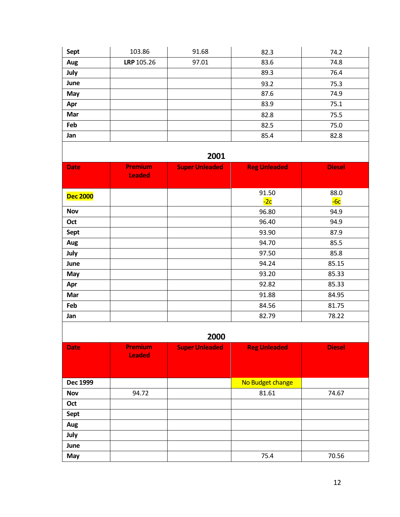| Sept | 103.86     | 91.68 | 82.3 | 74.2 |
|------|------------|-------|------|------|
| Aug  | LRP 105.26 | 97.01 | 83.6 | 74.8 |
| July |            |       | 89.3 | 76.4 |
| June |            |       | 93.2 | 75.3 |
| May  |            |       | 87.6 | 74.9 |
| Apr  |            |       | 83.9 | 75.1 |
| Mar  |            |       | 82.8 | 75.5 |
| Feb  |            |       | 82.5 | 75.0 |
| Jan  |            |       | 85.4 | 82.8 |

| <b>Date</b>     | <b>Premium</b><br><b>Leaded</b> | <b>Super Unleaded</b> | <b>Reg Unleaded</b> | <b>Diesel</b> |
|-----------------|---------------------------------|-----------------------|---------------------|---------------|
| <b>Dec 2000</b> |                                 |                       | 91.50<br>$-2c$      | 88.0<br>$-6c$ |
| <b>Nov</b>      |                                 |                       | 96.80               | 94.9          |
| Oct             |                                 |                       | 96.40               | 94.9          |
| Sept            |                                 |                       | 93.90               | 87.9          |
| Aug             |                                 |                       | 94.70               | 85.5          |
| July            |                                 |                       | 97.50               | 85.8          |
| June            |                                 |                       | 94.24               | 85.15         |
| May             |                                 |                       | 93.20               | 85.33         |
| Apr             |                                 |                       | 92.82               | 85.33         |
| Mar             |                                 |                       | 91.88               | 84.95         |
| Feb             |                                 |                       | 84.56               | 81.75         |
| Jan             |                                 |                       | 82.79               | 78.22         |

| ----        |                                 |                       |                     |               |
|-------------|---------------------------------|-----------------------|---------------------|---------------|
| <b>Date</b> | <b>Premium</b><br><b>Leaded</b> | <b>Super Unleaded</b> | <b>Reg Unleaded</b> | <b>Diesel</b> |
| Dec 1999    |                                 |                       | No Budget change    |               |
| <b>Nov</b>  | 94.72                           |                       | 81.61               | 74.67         |
| Oct         |                                 |                       |                     |               |
| Sept        |                                 |                       |                     |               |
| Aug         |                                 |                       |                     |               |
| July        |                                 |                       |                     |               |
| June        |                                 |                       |                     |               |
| May         |                                 |                       | 75.4                | 70.56         |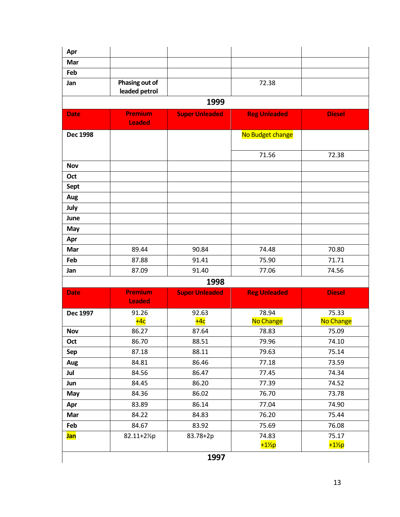| Apr             |                                 |                       |                     |               |
|-----------------|---------------------------------|-----------------------|---------------------|---------------|
| Mar             |                                 |                       |                     |               |
| Feb             |                                 |                       |                     |               |
| Jan             | Phasing out of<br>leaded petrol |                       | 72.38               |               |
|                 |                                 | 1999                  |                     |               |
| <b>Date</b>     | <b>Premium</b><br><b>Leaded</b> | <b>Super Unleaded</b> | <b>Reg Unleaded</b> | <b>Diesel</b> |
| <b>Dec 1998</b> |                                 |                       | No Budget change    |               |
|                 |                                 |                       | 71.56               | 72.38         |
| <b>Nov</b>      |                                 |                       |                     |               |
| Oct             |                                 |                       |                     |               |
| <b>Sept</b>     |                                 |                       |                     |               |
| Aug             |                                 |                       |                     |               |
| July            |                                 |                       |                     |               |
| June            |                                 |                       |                     |               |
| May             |                                 |                       |                     |               |
| Apr             |                                 |                       |                     |               |
| Mar             | 89.44                           | 90.84                 | 74.48               | 70.80         |
| Feb             | 87.88                           | 91.41                 | 75.90               | 71.71         |
| Jan             | 87.09                           | 91.40                 | 77.06               | 74.56         |
|                 |                                 | 1998                  |                     |               |
| <b>Date</b>     | <b>Premium</b><br><b>Leaded</b> | <b>Super Unleaded</b> | <b>Reg Unleaded</b> | <b>Diesel</b> |
| Dec 1997        | 91.26                           | 92.63                 | 78.94               | 75.33         |
|                 | $+4c$                           | $+4c$                 | No Change           | No Change     |
| <b>Nov</b>      | 86.27                           | 87.64                 | 78.83               | 75.09         |
| Oct             | 86.70                           | 88.51                 | 79.96               | 74.10         |
| Sep             | 87.18                           | 88.11                 | 79.63               | 75.14         |
| Aug             | 84.81                           | 86.46                 | 77.18               | 73.59         |
| Jul             | 84.56                           | 86.47                 | 77.45               | 74.34         |
| Jun             | 84.45                           | 86.20                 | 77.39               | 74.52         |
| May             | 84.36                           | 86.02                 | 76.70               | 73.78         |
| Apr             | 83.89                           | 86.14                 | 77.04               | 74.90         |
| Mar             | 84.22                           | 84.83                 | 76.20               | 75.44         |
|                 |                                 |                       |                     | 76.08         |
| Feb             | 84.67                           | 83.92                 | 75.69               |               |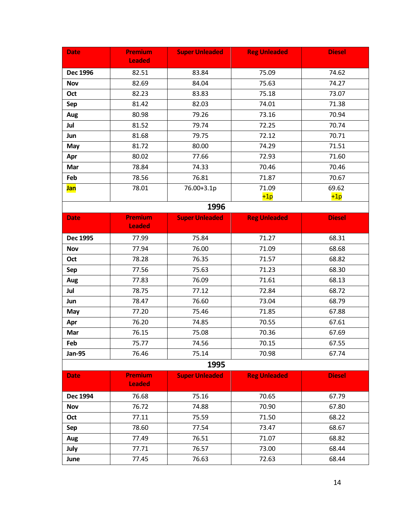| <b>Date</b>     | <b>Premium</b>                  | <b>Super Unleaded</b> | <b>Reg Unleaded</b> | <b>Diesel</b> |
|-----------------|---------------------------------|-----------------------|---------------------|---------------|
|                 | <b>Leaded</b>                   |                       |                     |               |
| Dec 1996        | 82.51                           | 83.84                 | 75.09               | 74.62         |
| <b>Nov</b>      | 82.69                           | 84.04                 | 75.63               | 74.27         |
| Oct             | 82.23                           | 83.83                 | 75.18               | 73.07         |
| Sep             | 81.42                           | 82.03                 | 74.01               | 71.38         |
| Aug             | 80.98                           | 79.26                 | 73.16               | 70.94         |
| Jul             | 81.52                           | 79.74                 | 72.25               | 70.74         |
| Jun             | 81.68                           | 79.75                 | 72.12               | 70.71         |
| May             | 81.72                           | 80.00                 | 74.29               | 71.51         |
| Apr             | 80.02                           | 77.66                 | 72.93               | 71.60         |
| Mar             | 78.84                           | 74.33                 | 70.46               | 70.46         |
| Feb             | 78.56                           | 76.81                 | 71.87               | 70.67         |
| <b>Jan</b>      | 78.01                           | 76.00+3.1p            | 71.09               | 69.62         |
|                 |                                 |                       | $+1p$               | $+1p$         |
|                 |                                 | 1996                  |                     |               |
| <b>Date</b>     | <b>Premium</b><br><b>Leaded</b> | <b>Super Unleaded</b> | <b>Reg Unleaded</b> | <b>Diesel</b> |
| <b>Dec 1995</b> | 77.99                           | 75.84                 | 71.27               | 68.31         |
| <b>Nov</b>      | 77.94                           | 76.00                 | 71.09               | 68.68         |
| Oct             | 78.28                           | 76.35                 | 71.57               | 68.82         |
| Sep             | 77.56                           | 75.63                 | 71.23               | 68.30         |
| Aug             | 77.83                           | 76.09                 | 71.61               | 68.13         |
| Jul             | 78.75                           | 77.12                 | 72.84               | 68.72         |
| Jun             | 78.47                           | 76.60                 | 73.04               | 68.79         |
| May             | 77.20                           | 75.46                 | 71.85               | 67.88         |
| Apr             | 76.20                           | 74.85                 | 70.55               | 67.61         |
| Mar             | 76.15                           | 75.08                 | 70.36               | 67.69         |
| Feb             | 75.77                           | 74.56                 | 70.15               | 67.55         |
| <b>Jan-95</b>   | 76.46                           | 75.14                 | 70.98               | 67.74         |
|                 |                                 | 1995                  |                     |               |
| <b>Date</b>     | <b>Premium</b>                  | <b>Super Unleaded</b> | <b>Reg Unleaded</b> | <b>Diesel</b> |
|                 | <b>Leaded</b>                   |                       |                     |               |
| Dec 1994        | 76.68                           | 75.16                 | 70.65               | 67.79         |
| <b>Nov</b>      | 76.72                           | 74.88                 | 70.90               | 67.80         |
| Oct             | 77.11                           | 75.59                 | 71.50               | 68.22         |
| Sep             | 78.60                           | 77.54                 | 73.47               | 68.67         |
| Aug             | 77.49                           | 76.51                 | 71.07               | 68.82         |
| July            | 77.71                           | 76.57                 | 73.00               | 68.44         |
| June            | 77.45                           | 76.63                 | 72.63               | 68.44         |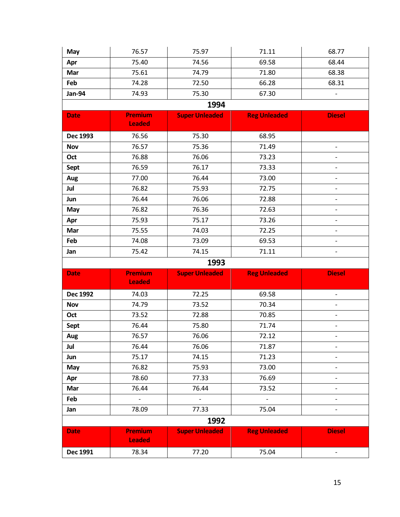| May             | 76.57                           | 75.97                 | 71.11               | 68.77                        |
|-----------------|---------------------------------|-----------------------|---------------------|------------------------------|
| Apr             | 75.40                           | 74.56                 | 69.58               | 68.44                        |
| Mar             | 75.61                           | 74.79                 | 71.80               | 68.38                        |
| Feb             | 74.28                           | 72.50                 | 66.28               | 68.31                        |
| <b>Jan-94</b>   | 74.93                           | 75.30                 | 67.30               |                              |
|                 |                                 | 1994                  |                     |                              |
| <b>Date</b>     | <b>Premium</b><br><b>Leaded</b> | <b>Super Unleaded</b> | <b>Reg Unleaded</b> | <b>Diesel</b>                |
| Dec 1993        | 76.56                           | 75.30                 | 68.95               |                              |
| <b>Nov</b>      | 76.57                           | 75.36                 | 71.49               | $\overline{\phantom{a}}$     |
| Oct             | 76.88                           | 76.06                 | 73.23               |                              |
| Sept            | 76.59                           | 76.17                 | 73.33               | $\overline{\phantom{0}}$     |
| Aug             | 77.00                           | 76.44                 | 73.00               | $\overline{\phantom{a}}$     |
| Jul             | 76.82                           | 75.93                 | 72.75               |                              |
| Jun             | 76.44                           | 76.06                 | 72.88               |                              |
| May             | 76.82                           | 76.36                 | 72.63               | -                            |
| Apr             | 75.93                           | 75.17                 | 73.26               |                              |
| Mar             | 75.55                           | 74.03                 | 72.25               |                              |
| Feb             | 74.08                           | 73.09                 | 69.53               | $\qquad \qquad -$            |
| Jan             | 75.42                           | 74.15                 | 71.11               | $\overline{\phantom{a}}$     |
|                 |                                 | 1993                  |                     |                              |
|                 |                                 |                       | <b>Reg Unleaded</b> |                              |
| <b>Date</b>     | Premium<br><b>Leaded</b>        | <b>Super Unleaded</b> |                     | <b>Diesel</b>                |
| <b>Dec 1992</b> | 74.03                           | 72.25                 | 69.58               | $\overline{\phantom{0}}$     |
| <b>Nov</b>      | 74.79                           | 73.52                 | 70.34               |                              |
| Oct             | 73.52                           | 72.88                 | 70.85               | $\qquad \qquad \blacksquare$ |
| Sept            | 76.44                           | 75.80                 | 71.74               | $\overline{\phantom{0}}$     |
| Aug             | 76.57                           | 76.06                 | 72.12               |                              |
| Jul             | 76.44                           | 76.06                 | 71.87               | $\overline{\phantom{0}}$     |
| Jun             | 75.17                           | 74.15                 | 71.23               |                              |
| May             | 76.82                           | 75.93                 | 73.00               |                              |
| Apr             | 78.60                           | 77.33                 | 76.69               | $\overline{\phantom{0}}$     |
| Mar             | 76.44                           | 76.44                 | 73.52               |                              |
| Feb             | $\overline{\phantom{a}}$        | $\blacksquare$        | $\Box$              |                              |
| Jan             | 78.09                           | 77.33                 | 75.04               | $\overline{\phantom{0}}$     |
|                 |                                 | 1992                  |                     |                              |
| <b>Date</b>     | <b>Premium</b><br><b>Leaded</b> | <b>Super Unleaded</b> | <b>Reg Unleaded</b> | <b>Diesel</b>                |